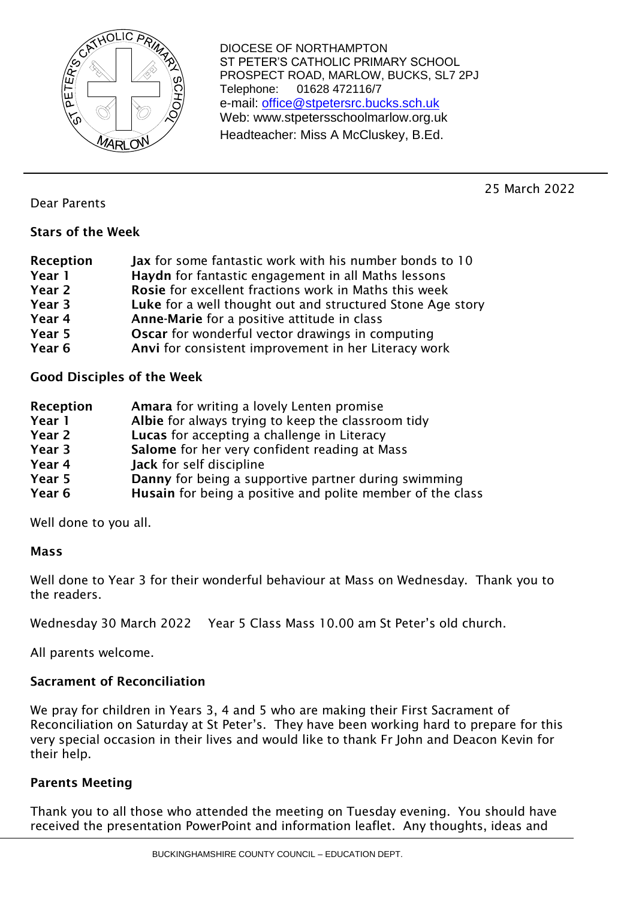

DIOCESE OF NORTHAMPTON ST PETER'S CATHOLIC PRIMARY SCHOOL PROSPECT ROAD, MARLOW, BUCKS, SL7 2PJ Telephone: 01628 472116/7 e-mail: [office@stpetersrc.bucks.sch.uk](mailto:office@stpetersrc.bucks.sch.uk) Web: www.stpetersschoolmarlow.org.uk Headteacher: Miss A McCluskey, B.Ed.

25 March 2022

Dear Parents

## Stars of the Week

| Reception | Jax for some fantastic work with his number bonds to 10    |
|-----------|------------------------------------------------------------|
| Year 1    | Haydn for fantastic engagement in all Maths lessons        |
| Year 2    | Rosie for excellent fractions work in Maths this week      |
| Year 3    | Luke for a well thought out and structured Stone Age story |
| Year 4    | Anne-Marie for a positive attitude in class                |
| Year 5    | <b>Oscar</b> for wonderful vector drawings in computing    |
| Year 6    | Anvi for consistent improvement in her Literacy work       |

Good Disciples of the Week

| Reception | Amara for writing a lovely Lenten promise                         |
|-----------|-------------------------------------------------------------------|
| Year 1    | Albie for always trying to keep the classroom tidy                |
| Year 2    | Lucas for accepting a challenge in Literacy                       |
| Year 3    | Salome for her very confident reading at Mass                     |
| Year 4    | Jack for self discipline                                          |
| Year 5    | Danny for being a supportive partner during swimming              |
| Year 6    | <b>Husain</b> for being a positive and polite member of the class |

Well done to you all.

## Mass

Well done to Year 3 for their wonderful behaviour at Mass on Wednesday. Thank you to the readers.

Wednesday 30 March 2022 Year 5 Class Mass 10.00 am St Peter's old church.

All parents welcome.

## Sacrament of Reconciliation

We pray for children in Years 3, 4 and 5 who are making their First Sacrament of Reconciliation on Saturday at St Peter's. They have been working hard to prepare for this very special occasion in their lives and would like to thank Fr John and Deacon Kevin for their help.

## Parents Meeting

Thank you to all those who attended the meeting on Tuesday evening. You should have received the presentation PowerPoint and information leaflet. Any thoughts, ideas and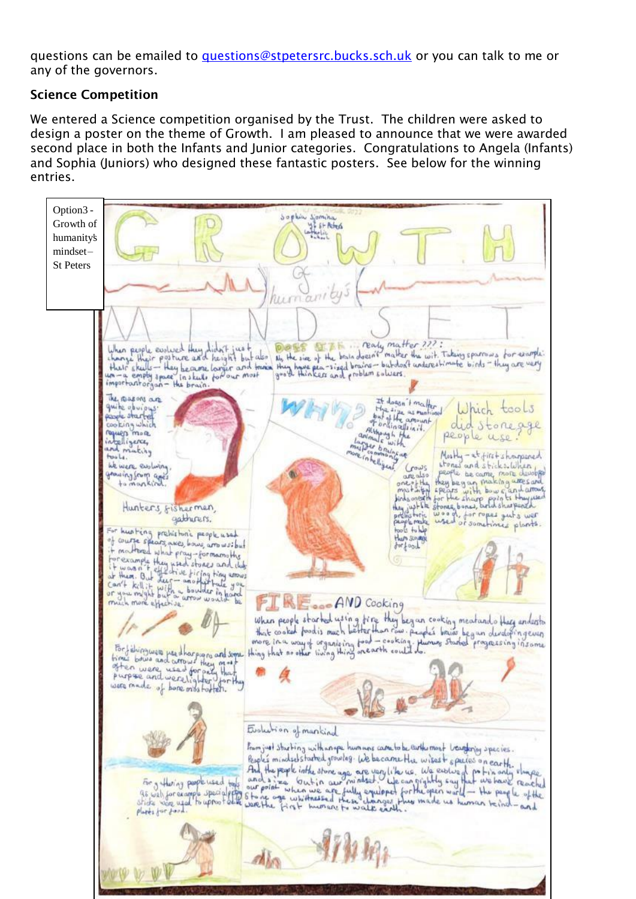questions can be emailed to [questions@stpetersrc.bucks.sch.uk](mailto:questions@stpetersrc.bucks.sch.uk) or you can talk to me or any of the governors.

## Science Competition

We entered a Science competition organised by the Trust. The children were asked to design a poster on the theme of Growth. I am pleased to announce that we were awarded second place in both the Infants and Junior categories. Congratulations to Angela (Infants) and Sophia (Juniors) who designed these fantastic posters. See below for the winning entries.

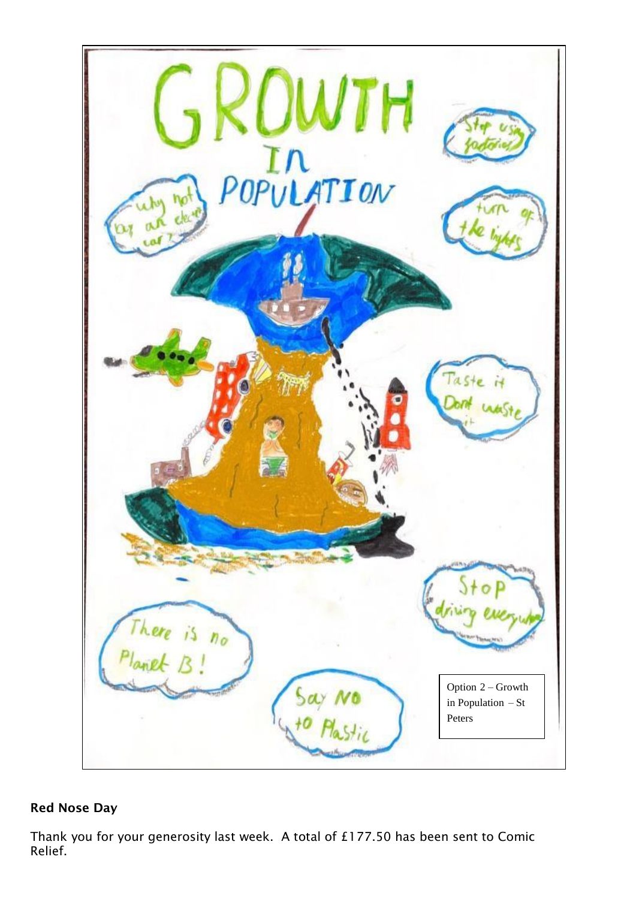

## Red Nose Day

Thank you for your generosity last week. A total of £177.50 has been sent to Comic Relief.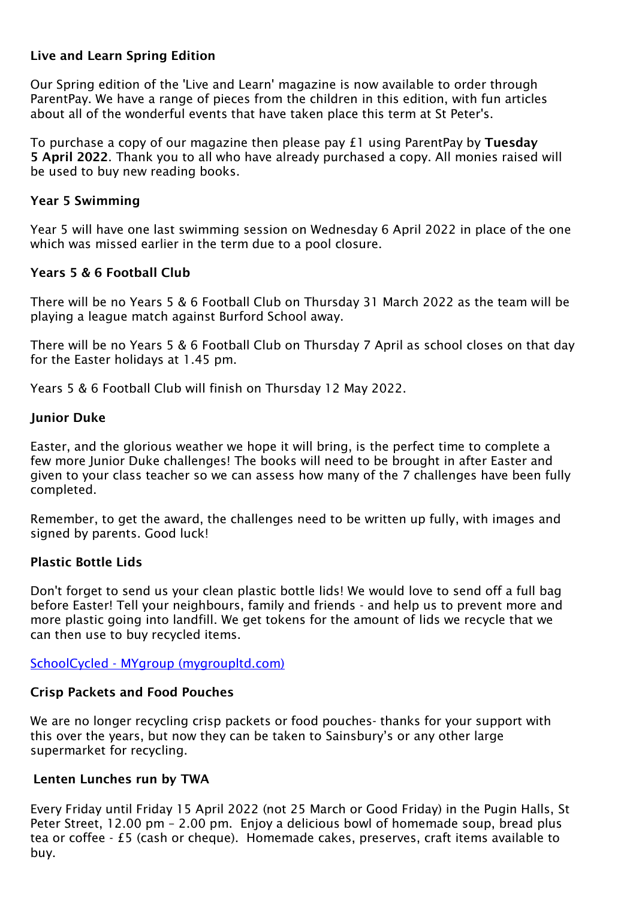## Live and Learn Spring Edition

Our Spring edition of the 'Live and Learn' magazine is now available to order through ParentPay. We have a range of pieces from the children in this edition, with fun articles about all of the wonderful events that have taken place this term at St Peter's.

To purchase a copy of our magazine then please pay £1 using ParentPay by Tuesday 5 April 2022. Thank you to all who have already purchased a copy. All monies raised will be used to buy new reading books.

#### Year 5 Swimming

Year 5 will have one last swimming session on Wednesday 6 April 2022 in place of the one which was missed earlier in the term due to a pool closure.

#### Years 5 & 6 Football Club

There will be no Years 5 & 6 Football Club on Thursday 31 March 2022 as the team will be playing a league match against Burford School away.

There will be no Years 5 & 6 Football Club on Thursday 7 April as school closes on that day for the Easter holidays at 1.45 pm.

Years 5 & 6 Football Club will finish on Thursday 12 May 2022.

#### **Junior Duke**

Easter, and the glorious weather we hope it will bring, is the perfect time to complete a few more Junior Duke challenges! The books will need to be brought in after Easter and given to your class teacher so we can assess how many of the 7 challenges have been fully completed.

Remember, to get the award, the challenges need to be written up fully, with images and signed by parents. Good luck!

#### Plastic Bottle Lids

Don't forget to send us your clean plastic bottle lids! We would love to send off a full bag before Easter! Tell your neighbours, family and friends - and help us to prevent more and more plastic going into landfill. We get tokens for the amount of lids we recycle that we can then use to buy recycled items.

SchoolCycled - MYgroup [\(mygroupltd.com\)](https://mygroupltd.com/schoolcycled/)

#### Crisp Packets and Food Pouches

We are no longer recycling crisp packets or food pouches- thanks for your support with this over the years, but now they can be taken to Sainsbury's or any other large supermarket for recycling.

#### Lenten Lunches run by TWA

Every Friday until Friday 15 April 2022 (not 25 March or Good Friday) in the Pugin Halls, St Peter Street, 12.00 pm – 2.00 pm. Enjoy a delicious bowl of homemade soup, bread plus tea or coffee - £5 (cash or cheque). Homemade cakes, preserves, craft items available to buy.